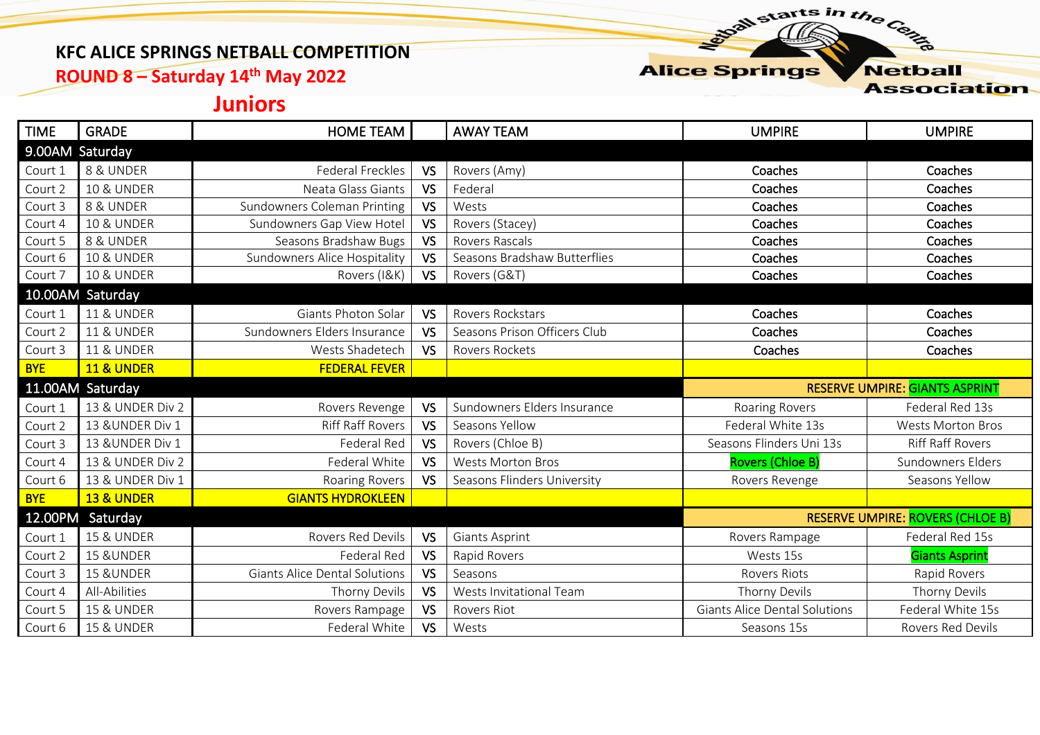## **KFC ALICE SPRINGS NETBALL COMPETITION**

**ROUND 8 – Saturday 14th May 2022**

**Alice Springs Netball** 

starts in the Centre

**Association** 

## **Juniors**

| <b>TIME</b>      | <b>GRADE</b>          | HOME TEAM                            |           | <b>AWAY TEAM</b>             | <b>UMPIRE</b>                         | <b>UMPIRE</b>                           |  |
|------------------|-----------------------|--------------------------------------|-----------|------------------------------|---------------------------------------|-----------------------------------------|--|
| 9.00AM Saturday  |                       |                                      |           |                              |                                       |                                         |  |
| Court 1          | 8 & UNDER             | Federal Freckles                     | <b>VS</b> | Rovers (Amy)                 | Coaches                               | Coaches                                 |  |
| Court 2          | <b>10 &amp; UNDER</b> | Neata Glass Giants                   | <b>VS</b> | Federal                      | Coaches                               | Coaches                                 |  |
| Court 3          | 8 & UNDER             | Sundowners Coleman Printing          | <b>VS</b> | Wests                        | Coaches                               | Coaches                                 |  |
| Court 4          | <b>10 &amp; UNDER</b> | Sundowners Gap View Hotel            | <b>VS</b> | Rovers (Stacey)              | Coaches                               | Coaches                                 |  |
| Court 5          | 8 & UNDER             | Seasons Bradshaw Bugs                | <b>VS</b> | <b>Rovers Rascals</b>        | Coaches                               | Coaches                                 |  |
| Court 6          | <b>10 &amp; UNDER</b> | Sundowners Alice Hospitality         | <b>VS</b> | Seasons Bradshaw Butterflies | Coaches                               | Coaches                                 |  |
| Court 7          | <b>10 &amp; UNDER</b> | Rovers (I&K)                         | VS        | Rovers (G&T)                 | Coaches                               | Coaches                                 |  |
|                  | 10.00AM Saturday      |                                      |           |                              |                                       |                                         |  |
| Court 1          | <b>11 &amp; UNDER</b> | Giants Photon Solar                  | <b>VS</b> | Rovers Rockstars             | Coaches                               | Coaches                                 |  |
| Court 2          | <b>11 &amp; UNDER</b> | Sundowners Elders Insurance          | <b>VS</b> | Seasons Prison Officers Club | Coaches                               | Coaches                                 |  |
| Court 3          | <b>11 &amp; UNDER</b> | Wests Shadetech                      | <b>VS</b> | Rovers Rockets               | Coaches                               | Coaches                                 |  |
| <b>BYE</b>       | <b>11 &amp; UNDER</b> | <b>FEDERAL FEVER</b>                 |           |                              |                                       |                                         |  |
|                  |                       |                                      |           |                              | <b>RESERVE UMPIRE: GIANTS ASPRINT</b> |                                         |  |
| 11.00AM Saturday |                       |                                      |           |                              |                                       |                                         |  |
| Court 1          | 13 & UNDER Div 2      | Rovers Revenge                       | <b>VS</b> | Sundowners Elders Insurance  | Roaring Rovers                        | Federal Red 13s                         |  |
| Court 2          | 13 & UNDER Div 1      | <b>Riff Raff Rovers</b>              | <b>VS</b> | Seasons Yellow               | Federal White 13s                     | <b>Wests Morton Bros</b>                |  |
| Court 3          | 13 & UNDER Div 1      | Federal Red                          | <b>VS</b> | Rovers (Chloe B)             | Seasons Flinders Uni 13s              | <b>Riff Raff Rovers</b>                 |  |
| Court 4          | 13 & UNDER Div 2      | Federal White                        | <b>VS</b> | <b>Wests Morton Bros</b>     | <b>Rovers (Chloe B)</b>               | Sundowners Elders                       |  |
| Court 6          | 13 & UNDER Div 1      | Roaring Rovers                       | VS        | Seasons Flinders University  | Rovers Revenge                        | Seasons Yellow                          |  |
| <b>BYE</b>       | <b>13 &amp; UNDER</b> | <b>GIANTS HYDROKLEEN</b>             |           |                              |                                       |                                         |  |
| 12.00PM          | Saturday              |                                      |           |                              |                                       | <b>RESERVE UMPIRE: ROVERS (CHLOE B)</b> |  |
| Court 1          | <b>15 &amp; UNDER</b> | <b>Rovers Red Devils</b>             | <b>VS</b> | <b>Giants Asprint</b>        | Rovers Rampage                        | Federal Red 15s                         |  |
| Court 2          | 15 & UNDER            | <b>Federal Red</b>                   | <b>VS</b> | Rapid Rovers                 | Wests 15s                             | <b>Giants Asprint</b>                   |  |
| Court 3          | 15 & UNDER            | <b>Giants Alice Dental Solutions</b> | <b>VS</b> | Seasons                      | <b>Rovers Riots</b>                   | Rapid Rovers                            |  |
| Court 4          | All-Abilities         | Thorny Devils                        | <b>VS</b> | Wests Invitational Team      | Thorny Devils                         | Thorny Devils                           |  |
| Court 5          | <b>15 &amp; UNDER</b> | Rovers Rampage                       | <b>VS</b> | Rovers Riot                  | <b>Giants Alice Dental Solutions</b>  | Federal White 15s                       |  |